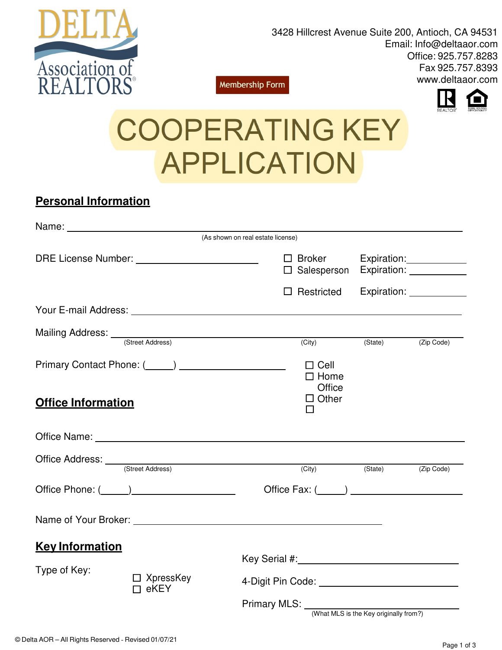

3428 Hillcrest Avenue Suite 200, Antioch, CA 94531 Email: Info@deltaaor.com Office: 925.757.8283 Fax 925.757.8393 www.deltaaor.com **Membership Form** 



# COOPERATING KEY APPLICATION

## **Personal Information**

|                           |                                         | (As shown on real estate license)                                                                                                                                                                                              |                                                                           |                    |  |
|---------------------------|-----------------------------------------|--------------------------------------------------------------------------------------------------------------------------------------------------------------------------------------------------------------------------------|---------------------------------------------------------------------------|--------------------|--|
|                           |                                         | $\Box$ Broker                                                                                                                                                                                                                  | Expiration: <u>______________</u><br>□ Salesperson Expiration: __________ |                    |  |
|                           |                                         | $\Box$ Restricted<br>Expiration: ____________                                                                                                                                                                                  |                                                                           |                    |  |
|                           |                                         |                                                                                                                                                                                                                                |                                                                           |                    |  |
|                           | Mailing Address: <u>Careet Address</u>  |                                                                                                                                                                                                                                |                                                                           |                    |  |
|                           |                                         | (City)                                                                                                                                                                                                                         |                                                                           | (State) (Zip Code) |  |
|                           |                                         | $\Box$ Cell<br>$\Box$ Home<br>Office                                                                                                                                                                                           |                                                                           |                    |  |
| <b>Office Information</b> |                                         | $\Box$ Other<br>$\Box$                                                                                                                                                                                                         |                                                                           |                    |  |
|                           |                                         | Office Name: Name: Name and Second Contract of the Second Contract of the Second Contract of the Second Contract of the Second Contract of the Second Contract of the Second Contract of the Second Contract of the Second Con |                                                                           |                    |  |
|                           | Office Address: <u>Contract Address</u> |                                                                                                                                                                                                                                |                                                                           |                    |  |
|                           |                                         | (City)                                                                                                                                                                                                                         |                                                                           | (State) (Zip Code) |  |
|                           |                                         | Office Fax: $(\_\_\_\_)$                                                                                                                                                                                                       |                                                                           |                    |  |
|                           |                                         |                                                                                                                                                                                                                                |                                                                           |                    |  |
| <b>Key Information</b>    |                                         |                                                                                                                                                                                                                                |                                                                           |                    |  |
|                           |                                         |                                                                                                                                                                                                                                |                                                                           |                    |  |
| Type of Key:              | $\Box$ XpressKey<br>$\Box$ eKEY         | 4-Digit Pin Code: _____________________________                                                                                                                                                                                |                                                                           |                    |  |
|                           |                                         | Primary MLS: _____________________<br>(What MLS is the Key originally from?)                                                                                                                                                   |                                                                           |                    |  |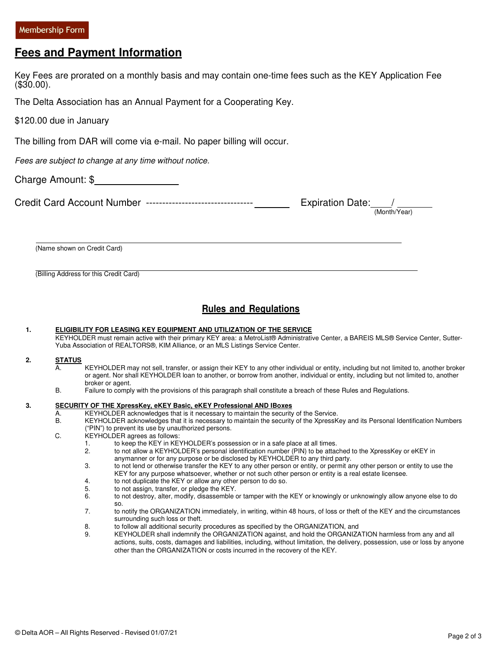### **Fees and Payment Information**

|               | I <del>cc</del> s and rayment information                                                                                                                                                                                                                                                                                                                                                                                                                                                                                                                                                                                                                                                                                                                                                                                                                                                                                                                                                                                                                                                                                                                                                                                                                                                                                                                                                                                                                                 |
|---------------|---------------------------------------------------------------------------------------------------------------------------------------------------------------------------------------------------------------------------------------------------------------------------------------------------------------------------------------------------------------------------------------------------------------------------------------------------------------------------------------------------------------------------------------------------------------------------------------------------------------------------------------------------------------------------------------------------------------------------------------------------------------------------------------------------------------------------------------------------------------------------------------------------------------------------------------------------------------------------------------------------------------------------------------------------------------------------------------------------------------------------------------------------------------------------------------------------------------------------------------------------------------------------------------------------------------------------------------------------------------------------------------------------------------------------------------------------------------------------|
| $(\$30.00)$ . | Key Fees are prorated on a monthly basis and may contain one-time fees such as the KEY Application Fee                                                                                                                                                                                                                                                                                                                                                                                                                                                                                                                                                                                                                                                                                                                                                                                                                                                                                                                                                                                                                                                                                                                                                                                                                                                                                                                                                                    |
|               | The Delta Association has an Annual Payment for a Cooperating Key.                                                                                                                                                                                                                                                                                                                                                                                                                                                                                                                                                                                                                                                                                                                                                                                                                                                                                                                                                                                                                                                                                                                                                                                                                                                                                                                                                                                                        |
|               | \$120.00 due in January                                                                                                                                                                                                                                                                                                                                                                                                                                                                                                                                                                                                                                                                                                                                                                                                                                                                                                                                                                                                                                                                                                                                                                                                                                                                                                                                                                                                                                                   |
|               | The billing from DAR will come via e-mail. No paper billing will occur.                                                                                                                                                                                                                                                                                                                                                                                                                                                                                                                                                                                                                                                                                                                                                                                                                                                                                                                                                                                                                                                                                                                                                                                                                                                                                                                                                                                                   |
|               | Fees are subject to change at any time without notice.                                                                                                                                                                                                                                                                                                                                                                                                                                                                                                                                                                                                                                                                                                                                                                                                                                                                                                                                                                                                                                                                                                                                                                                                                                                                                                                                                                                                                    |
|               | Charge Amount: \$                                                                                                                                                                                                                                                                                                                                                                                                                                                                                                                                                                                                                                                                                                                                                                                                                                                                                                                                                                                                                                                                                                                                                                                                                                                                                                                                                                                                                                                         |
|               | Expiration Date: $\frac{1}{(Month/Year)}$                                                                                                                                                                                                                                                                                                                                                                                                                                                                                                                                                                                                                                                                                                                                                                                                                                                                                                                                                                                                                                                                                                                                                                                                                                                                                                                                                                                                                                 |
|               | (Name shown on Credit Card)                                                                                                                                                                                                                                                                                                                                                                                                                                                                                                                                                                                                                                                                                                                                                                                                                                                                                                                                                                                                                                                                                                                                                                                                                                                                                                                                                                                                                                               |
| 1.            | <b>Rules and Regulations</b><br>ELIGIBILITY FOR LEASING KEY EQUIPMENT AND UTILIZATION OF THE SERVICE<br>KEYHOLDER must remain active with their primary KEY area: a MetroList® Administrative Center, a BAREIS MLS® Service Center, Sutter-<br>Yuba Association of REALTORS®, KIM Alliance, or an MLS Listings Service Center.                                                                                                                                                                                                                                                                                                                                                                                                                                                                                                                                                                                                                                                                                                                                                                                                                                                                                                                                                                                                                                                                                                                                            |
| 2.            | <b>STATUS</b><br>А.<br>KEYHOLDER may not sell, transfer, or assign their KEY to any other individual or entity, including but not limited to, another broker<br>or agent. Nor shall KEYHOLDER loan to another, or borrow from another, individual or entity, including but not limited to, another<br>broker or agent.<br>В.<br>Failure to comply with the provisions of this paragraph shall constitute a breach of these Rules and Regulations.                                                                                                                                                                                                                                                                                                                                                                                                                                                                                                                                                                                                                                                                                                                                                                                                                                                                                                                                                                                                                         |
| 3.            | SECURITY OF THE XpressKey, eKEY Basic, eKEY Professional AND IBoxes<br>KEYHOLDER acknowledges that is it necessary to maintain the security of the Service.<br>А.<br>KEYHOLDER acknowledges that it is necessary to maintain the security of the XpressKey and its Personal Identification Numbers<br>В.<br>("PIN") to prevent its use by unauthorized persons.<br>C.<br>KEYHOLDER agrees as follows:<br>to keep the KEY in KEYHOLDER's possession or in a safe place at all times.<br>1.<br>2.<br>to not allow a KEYHOLDER's personal identification number (PIN) to be attached to the XpressKey or eKEY in<br>anymanner or for any purpose or be disclosed by KEYHOLDER to any third party.<br>3.<br>to not lend or otherwise transfer the KEY to any other person or entity, or permit any other person or entity to use the<br>KEY for any purpose whatsoever, whether or not such other person or entity is a real estate licensee.<br>to not duplicate the KEY or allow any other person to do so.<br>4.<br>5.<br>to not assign, transfer, or pledge the KEY.<br>6.<br>to not destroy, alter, modify, disassemble or tamper with the KEY or knowingly or unknowingly allow anyone else to do<br>SO.<br>7.<br>to notify the ORGANIZATION immediately, in writing, within 48 hours, of loss or theft of the KEY and the circumstances<br>surrounding such loss or theft.<br>8.<br>to follow all additional security procedures as specified by the ORGANIZATION, and |

9. KEYHOLDER shall indemnify the ORGANIZATION against, and hold the ORGANIZATION harmless from any and all actions, suits, costs, damages and liabilities, including, without limitation, the delivery, possession, use or loss by anyone other than the ORGANIZATION or costs incurred in the recovery of the KEY.